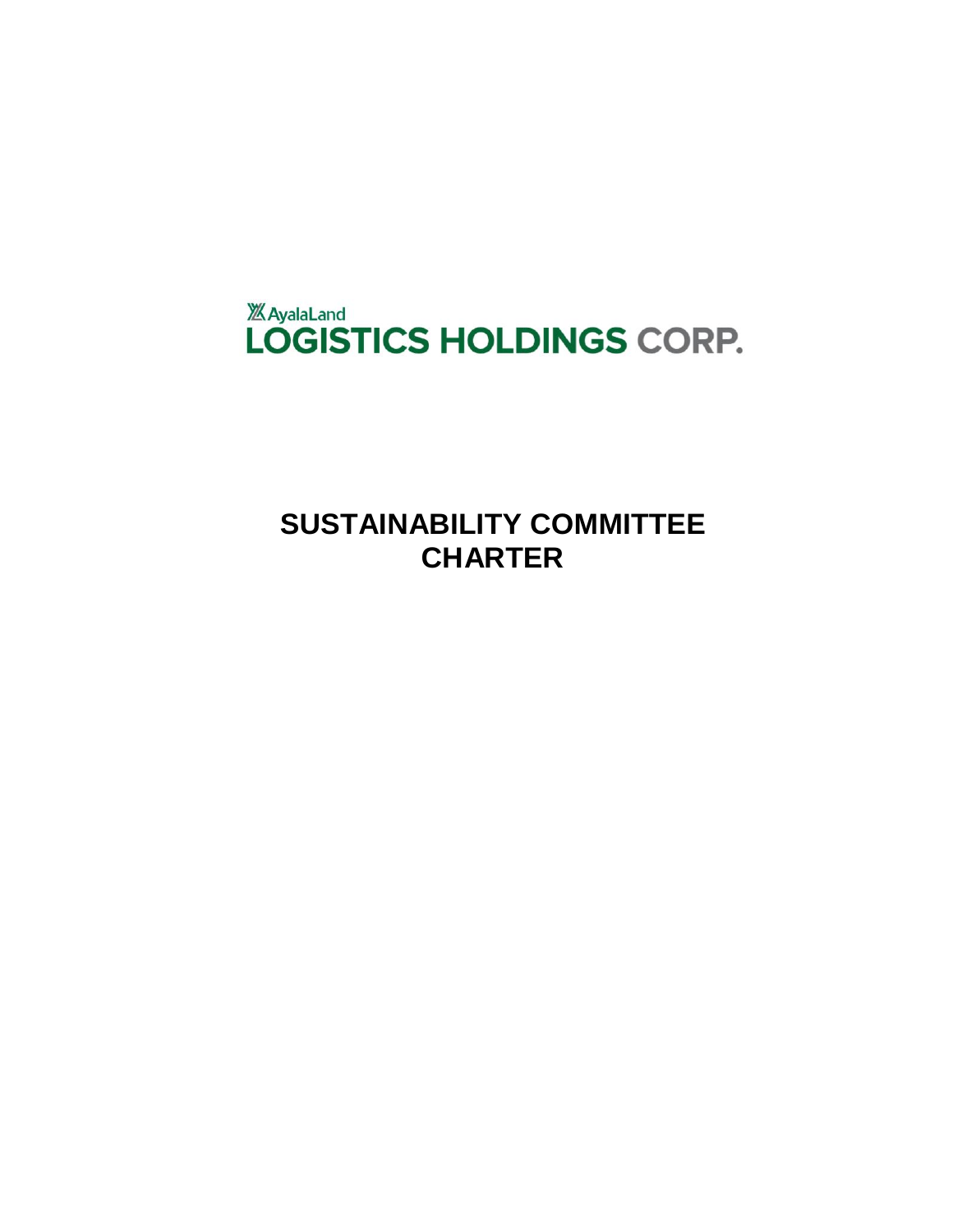**XAyalaLand<br>LOGISTICS HOLDINGS CORP.** 

**SUSTAINABILITY COMMITTEE CHARTER**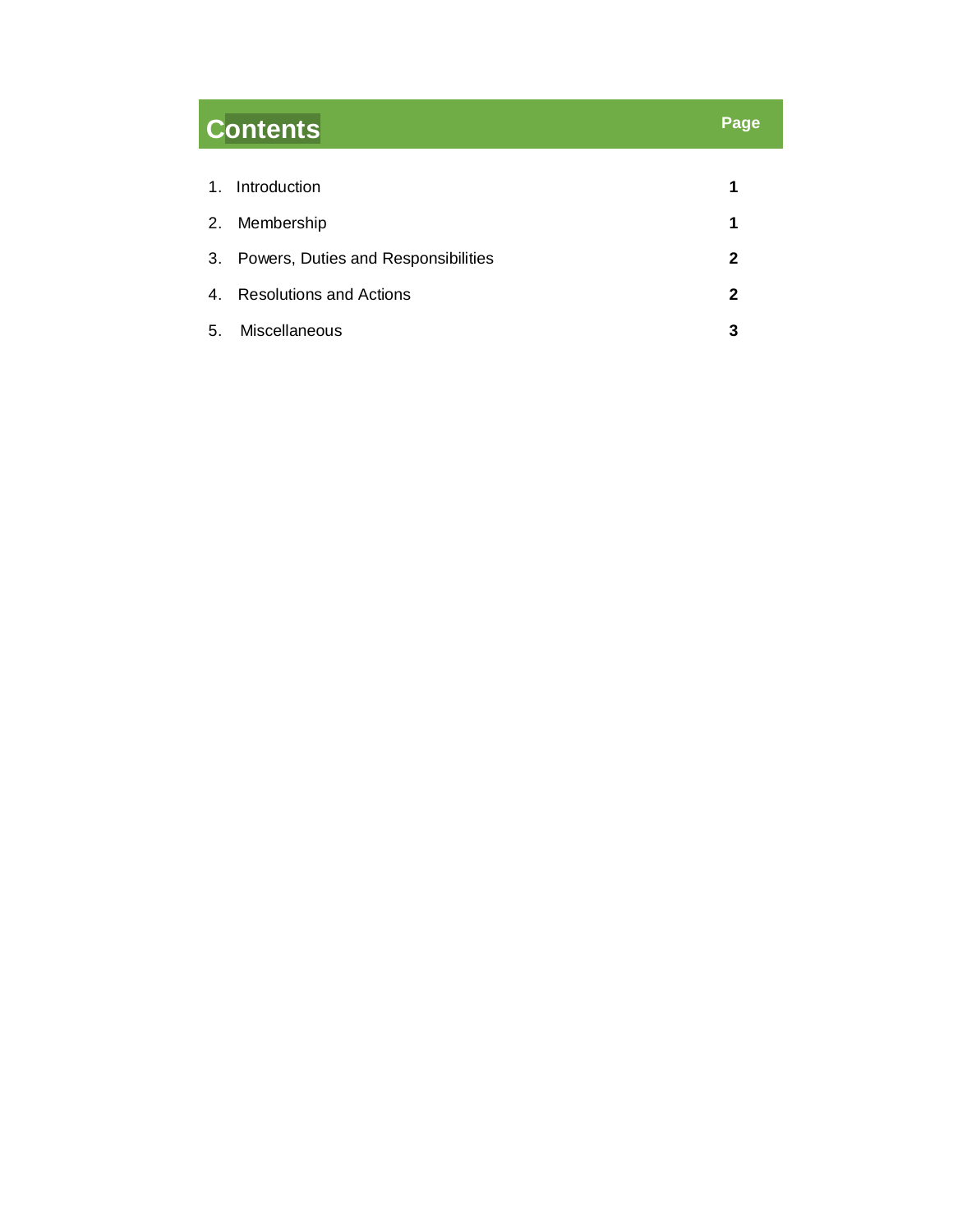# **Contents Page**

| $\mathbf{1}$ . | Introduction                        |   |
|----------------|-------------------------------------|---|
|                | 2. Membership                       |   |
| 3.             | Powers, Duties and Responsibilities | 2 |
| 4.             | <b>Resolutions and Actions</b>      | 2 |
| 5.             | Miscellaneous                       |   |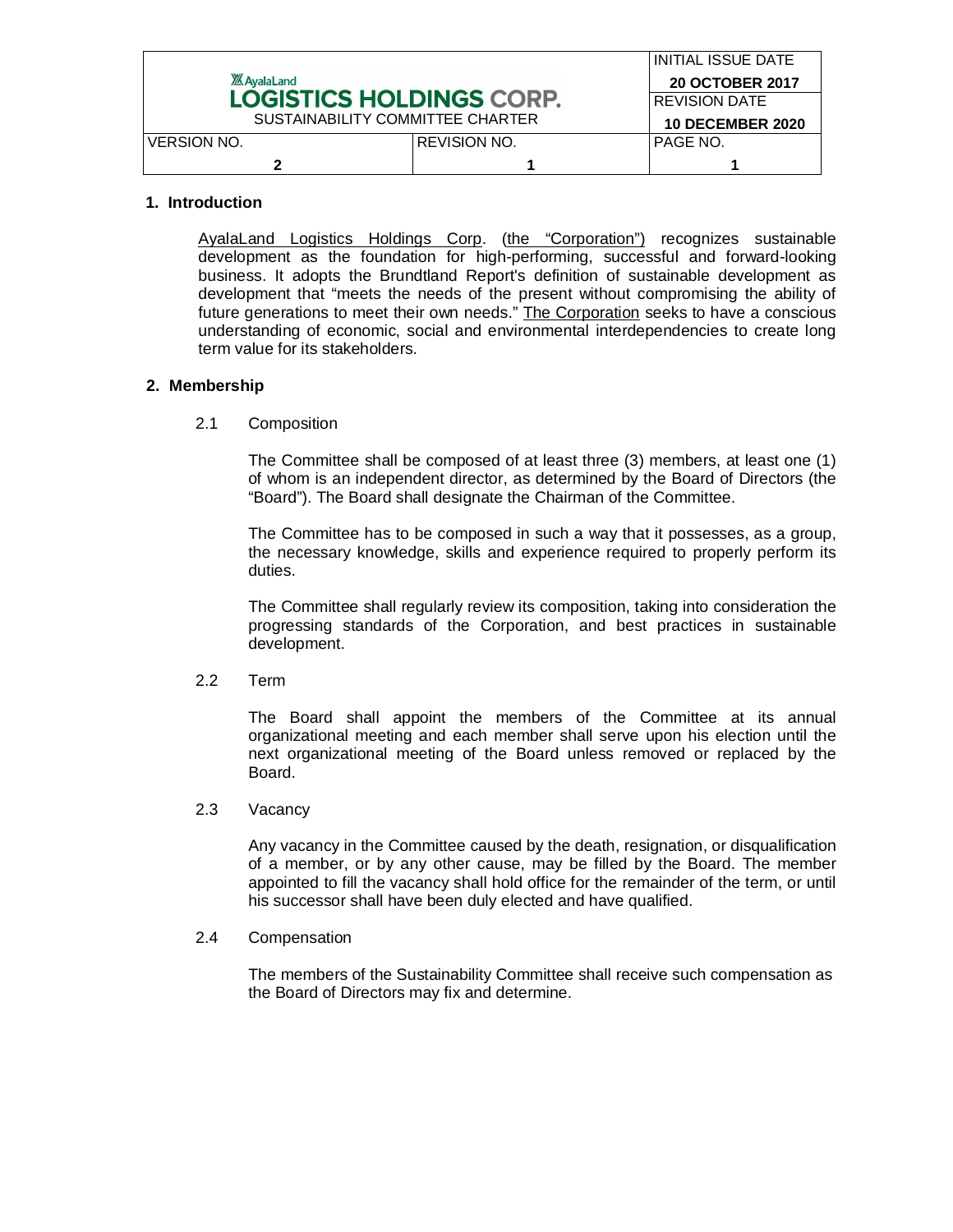|                                  |                         | <b>INITIAL ISSUE DATE</b> |
|----------------------------------|-------------------------|---------------------------|
| <b>XX AyalaLand</b>              |                         | <b>20 OCTOBER 2017</b>    |
| <b>LOGISTICS HOLDINGS CORP.</b>  |                         | <b>REVISION DATE</b>      |
| SUSTAINABILITY COMMITTEE CHARTER | <b>10 DECEMBER 2020</b> |                           |
| <b>VERSION NO.</b>               | REVISION NO.            | IPAGE NO.                 |
|                                  |                         |                           |

#### **1. Introduction**

AyalaLand Logistics Holdings Corp. (the "Corporation") recognizes sustainable development as the foundation for high-performing, successful and forward-looking business. It adopts the Brundtland Report's definition of sustainable development as development that "meets the needs of the present without compromising the ability of future generations to meet their own needs." The Corporation seeks to have a conscious understanding of economic, social and environmental interdependencies to create long term value for its stakeholders.

# **2. Membership**

2.1 Composition

The Committee shall be composed of at least three (3) members, at least one (1) of whom is an independent director, as determined by the Board of Directors (the "Board"). The Board shall designate the Chairman of the Committee.

The Committee has to be composed in such a way that it possesses, as a group, the necessary knowledge, skills and experience required to properly perform its duties.

The Committee shall regularly review its composition, taking into consideration the progressing standards of the Corporation, and best practices in sustainable development.

2.2 Term

The Board shall appoint the members of the Committee at its annual organizational meeting and each member shall serve upon his election until the next organizational meeting of the Board unless removed or replaced by the Board.

2.3 Vacancy

Any vacancy in the Committee caused by the death, resignation, or disqualification of a member, or by any other cause, may be filled by the Board. The member appointed to fill the vacancy shall hold office for the remainder of the term, or until his successor shall have been duly elected and have qualified.

2.4 Compensation

The members of the Sustainability Committee shall receive such compensation as the Board of Directors may fix and determine.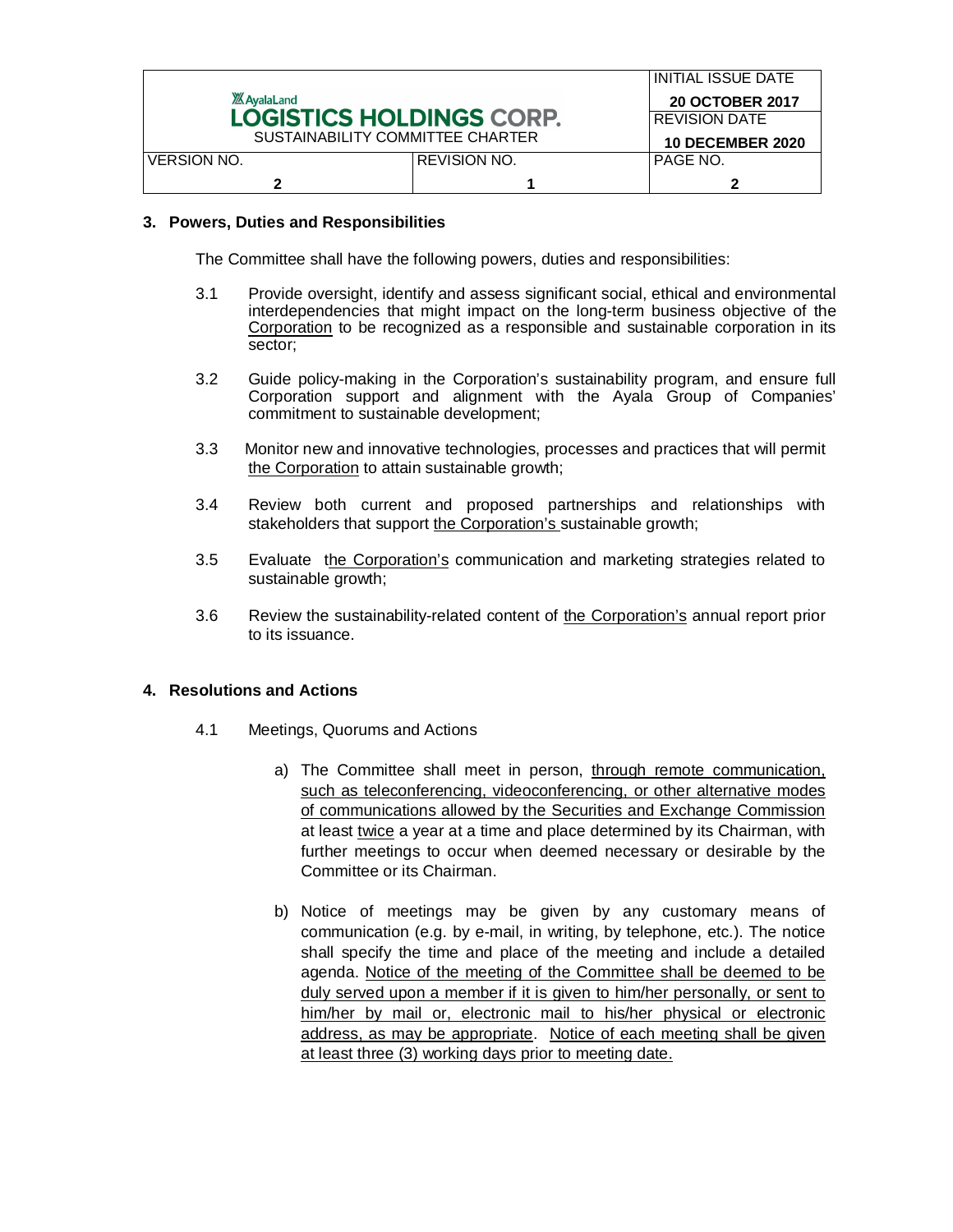|                                  |                     | INITIAL ISSUE DATE      |
|----------------------------------|---------------------|-------------------------|
| <b>XX AvalaLand</b>              |                     | <b>20 OCTOBER 2017</b>  |
| <b>LOGISTICS HOLDINGS CORP.</b>  |                     | <b>REVISION DATE</b>    |
| SUSTAINABILITY COMMITTEE CHARTER |                     | <b>10 DECEMBER 2020</b> |
| <b>VERSION NO.</b>               | <b>REVISION NO.</b> | <b>PAGE NO.</b>         |
|                                  |                     |                         |

#### **3. Powers, Duties and Responsibilities**

The Committee shall have the following powers, duties and responsibilities:

- 3.1 Provide oversight, identify and assess significant social, ethical and environmental interdependencies that might impact on the long-term business objective of the Corporation to be recognized as a responsible and sustainable corporation in its sector;
- 3.2 Guide policy-making in the Corporation's sustainability program, and ensure full Corporation support and alignment with the Ayala Group of Companies' commitment to sustainable development;
- 3.3 Monitor new and innovative technologies, processes and practices that will permit the Corporation to attain sustainable growth;
- 3.4 Review both current and proposed partnerships and relationships with stakeholders that support the Corporation's sustainable growth;
- 3.5 Evaluate the Corporation's communication and marketing strategies related to sustainable growth;
- 3.6 Review the sustainability-related content of the Corporation's annual report prior to its issuance.

# **4. Resolutions and Actions**

- 4.1 Meetings, Quorums and Actions
	- a) The Committee shall meet in person, through remote communication, such as teleconferencing, videoconferencing, or other alternative modes of communications allowed by the Securities and Exchange Commission at least twice a year at a time and place determined by its Chairman, with further meetings to occur when deemed necessary or desirable by the Committee or its Chairman.
	- b) Notice of meetings may be given by any customary means of communication (e.g. by e-mail, in writing, by telephone, etc.). The notice shall specify the time and place of the meeting and include a detailed agenda. Notice of the meeting of the Committee shall be deemed to be duly served upon a member if it is given to him/her personally, or sent to him/her by mail or, electronic mail to his/her physical or electronic address, as may be appropriate. Notice of each meeting shall be given at least three (3) working days prior to meeting date.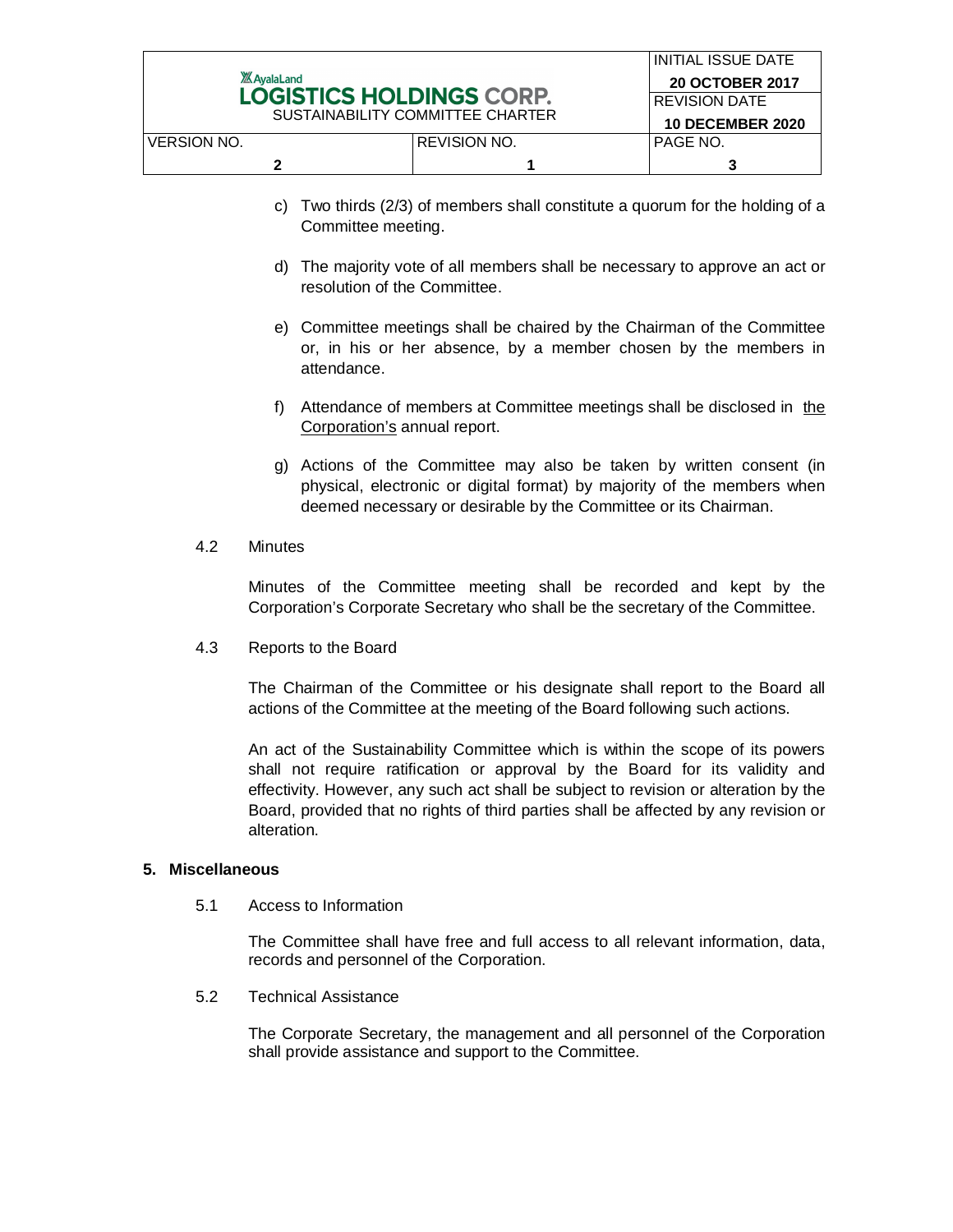| <b>VERSION NO.</b>                                     | I REVISION NO.          | PAGE NO.               |
|--------------------------------------------------------|-------------------------|------------------------|
| SUSTAINABILITY COMMITTEE CHARTER                       | <b>10 DECEMBER 2020</b> |                        |
| <b>XX AyalaLand</b><br><b>LOGISTICS HOLDINGS CORP.</b> |                         | <b>REVISION DATE</b>   |
|                                                        |                         | <b>20 OCTOBER 2017</b> |
|                                                        |                         | IINITIAL ISSUE DATE    |

- c) Two thirds (2/3) of members shall constitute a quorum for the holding of a Committee meeting.
- d) The majority vote of all members shall be necessary to approve an act or resolution of the Committee.
- e) Committee meetings shall be chaired by the Chairman of the Committee or, in his or her absence, by a member chosen by the members in attendance.
- f) Attendance of members at Committee meetings shall be disclosed in the Corporation's annual report.
- g) Actions of the Committee may also be taken by written consent (in physical, electronic or digital format) by majority of the members when deemed necessary or desirable by the Committee or its Chairman.
- 4.2 Minutes

Minutes of the Committee meeting shall be recorded and kept by the Corporation's Corporate Secretary who shall be the secretary of the Committee.

4.3 Reports to the Board

The Chairman of the Committee or his designate shall report to the Board all actions of the Committee at the meeting of the Board following such actions.

An act of the Sustainability Committee which is within the scope of its powers shall not require ratification or approval by the Board for its validity and effectivity. However, any such act shall be subject to revision or alteration by the Board, provided that no rights of third parties shall be affected by any revision or alteration.

# **5. Miscellaneous**

5.1 Access to Information

The Committee shall have free and full access to all relevant information, data, records and personnel of the Corporation.

5.2 Technical Assistance

The Corporate Secretary, the management and all personnel of the Corporation shall provide assistance and support to the Committee.